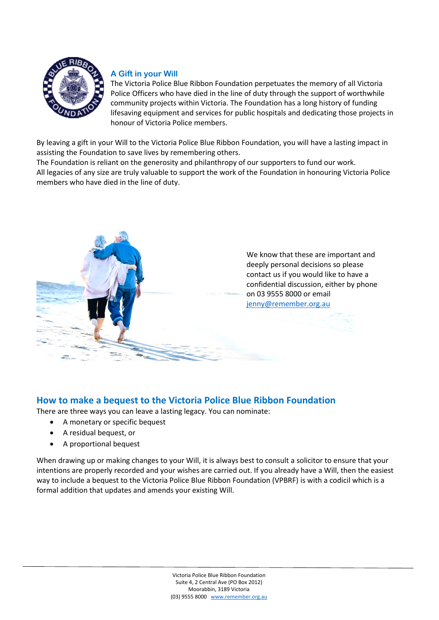

# **A Gift in your Will**

The Victoria Police Blue Ribbon Foundation perpetuates the memory of all Victoria Police Officers who have died in the line of duty through the support of worthwhile community projects within Victoria. The Foundation has a long history of funding lifesaving equipment and services for public hospitals and dedicating those projects in honour of Victoria Police members.

By leaving a gift in your Will to the Victoria Police Blue Ribbon Foundation, you will have a lasting impact in assisting the Foundation to save lives by remembering others.

The Foundation is reliant on the generosity and philanthropy of our supporters to fund our work. All legacies of any size are truly valuable to support the work of the Foundation in honouring Victoria Police members who have died in the line of duty.



# **How to make a bequest to the Victoria Police Blue Ribbon Foundation**

There are three ways you can leave a lasting legacy. You can nominate:

- A monetary or specific bequest
- A residual bequest, or
- A proportional bequest

When drawing up or making changes to your Will, it is always best to consult a solicitor to ensure that your intentions are properly recorded and your wishes are carried out. If you already have a Will, then the easiest way to include a bequest to the Victoria Police Blue Ribbon Foundation (VPBRF) is with a codicil which is a formal addition that updates and amends your existing Will.